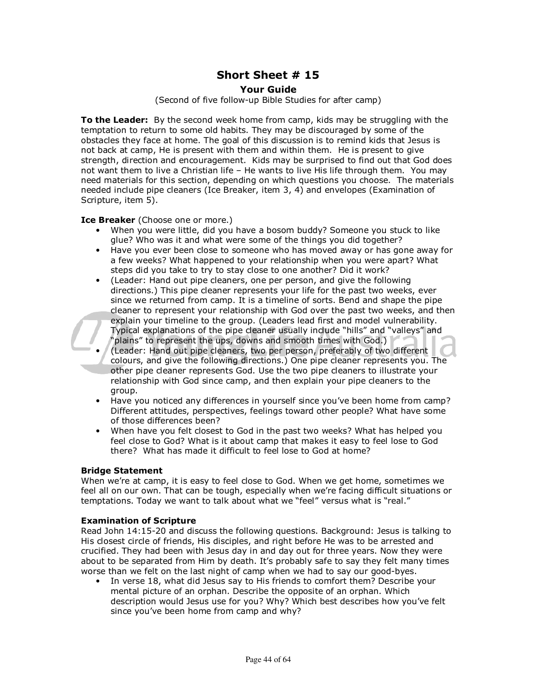# **Short Sheet # 15**

# **Your Guide**

(Second of five follow-up Bible Studies for after camp)

**To the Leader:** By the second week home from camp, kids may be struggling with the temptation to return to some old habits. They may be discouraged by some of the obstacles they face at home. The goal of this discussion is to remind kids that Jesus is not back at camp, He is present with them and within them. He is present to give strength, direction and encouragement. Kids may be surprised to find out that God does not want them to live a Christian life – He wants to live His life through them. You may need materials for this section, depending on which questions you choose. The materials needed include pipe cleaners (Ice Breaker, item 3, 4) and envelopes (Examination of Scripture, item 5).

**Ice Breaker** (Choose one or more.)

- When you were little, did you have a bosom buddy? Someone you stuck to like glue? Who was it and what were some of the things you did together?
- Have you ever been close to someone who has moved away or has gone away for a few weeks? What happened to your relationship when you were apart? What steps did you take to try to stay close to one another? Did it work?
- (Leader: Hand out pipe cleaners, one per person, and give the following directions.) This pipe cleaner represents your life for the past two weeks, ever since we returned from camp. It is a timeline of sorts. Bend and shape the pipe cleaner to represent your relationship with God over the past two weeks, and then explain your timeline to the group. (Leaders lead first and model vulnerability. Typical explanations of the pipe cleaner usually include "hills" and "valleys" and "plains" to represent the ups, downs and smooth times with God.)
- (Leader: Hand out pipe cleaners, two per person, preferably of two different colours, and give the following directions.) One pipe cleaner represents you. The other pipe cleaner represents God. Use the two pipe cleaners to illustrate your relationship with God since camp, and then explain your pipe cleaners to the group.
- Have you noticed any differences in yourself since you've been home from camp? Different attitudes, perspectives, feelings toward other people? What have some of those differences been?
- When have you felt closest to God in the past two weeks? What has helped you feel close to God? What is it about camp that makes it easy to feel lose to God there? What has made it difficult to feel lose to God at home?

## **Bridge Statement**

When we're at camp, it is easy to feel close to God. When we get home, sometimes we feel all on our own. That can be tough, especially when we're facing difficult situations or temptations. Today we want to talk about what we "feel" versus what is "real."

#### **Examination of Scripture**

Read John 14:15-20 and discuss the following questions. Background: Jesus is talking to His closest circle of friends, His disciples, and right before He was to be arrested and crucified. They had been with Jesus day in and day out for three years. Now they were about to be separated from Him by death. It's probably safe to say they felt many times worse than we felt on the last night of camp when we had to say our good-byes.

• In verse 18, what did Jesus say to His friends to comfort them? Describe your mental picture of an orphan. Describe the opposite of an orphan. Which description would Jesus use for you? Why? Which best describes how you've felt since you've been home from camp and why?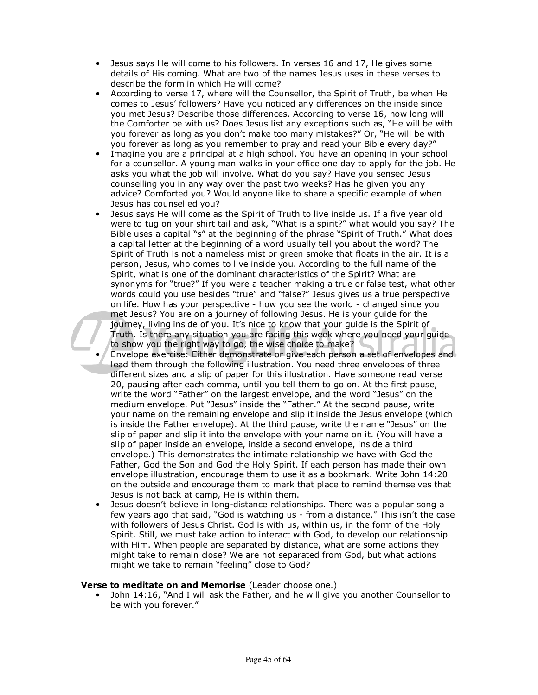- Jesus says He will come to his followers. In verses 16 and 17, He gives some details of His coming. What are two of the names Jesus uses in these verses to describe the form in which He will come?
- According to verse 17, where will the Counsellor, the Spirit of Truth, be when He comes to Jesus' followers? Have you noticed any differences on the inside since you met Jesus? Describe those differences. According to verse 16, how long will the Comforter be with us? Does Jesus list any exceptions such as, "He will be with you forever as long as you don't make too many mistakes?" Or, "He will be with you forever as long as you remember to pray and read your Bible every day?"
- Imagine you are a principal at a high school. You have an opening in your school for a counsellor. A young man walks in your office one day to apply for the job. He asks you what the job will involve. What do you say? Have you sensed Jesus counselling you in any way over the past two weeks? Has he given you any advice? Comforted you? Would anyone like to share a specific example of when Jesus has counselled you?
- Jesus says He will come as the Spirit of Truth to live inside us. If a five year old were to tug on your shirt tail and ask, "What is a spirit?" what would you say? The Bible uses a capital "s" at the beginning of the phrase "Spirit of Truth." What does a capital letter at the beginning of a word usually tell you about the word? The Spirit of Truth is not a nameless mist or green smoke that floats in the air. It is a person, Jesus, who comes to live inside you. According to the full name of the Spirit, what is one of the dominant characteristics of the Spirit? What are synonyms for "true?" If you were a teacher making a true or false test, what other words could you use besides "true" and "false?" Jesus gives us a true perspective on life. How has your perspective - how you see the world - changed since you met Jesus? You are on a journey of following Jesus. He is your guide for the journey, living inside of you. It's nice to know that your quide is the Spirit of Truth. Is there any situation you are facing this week where you need your guide to show you the right way to go, the wise choice to make?
- Envelope exercise: Either demonstrate or give each person a set of envelopes and lead them through the following illustration. You need three envelopes of three different sizes and a slip of paper for this illustration. Have someone read verse 20, pausing after each comma, until you tell them to go on. At the first pause, write the word "Father" on the largest envelope, and the word "Jesus" on the medium envelope. Put "Jesus" inside the "Father." At the second pause, write your name on the remaining envelope and slip it inside the Jesus envelope (which is inside the Father envelope). At the third pause, write the name "Jesus" on the slip of paper and slip it into the envelope with your name on it. (You will have a slip of paper inside an envelope, inside a second envelope, inside a third envelope.) This demonstrates the intimate relationship we have with God the Father, God the Son and God the Holy Spirit. If each person has made their own envelope illustration, encourage them to use it as a bookmark. Write John 14:20 on the outside and encourage them to mark that place to remind themselves that Jesus is not back at camp, He is within them.
- Jesus doesn't believe in long-distance relationships. There was a popular song a few years ago that said, "God is watching us - from a distance." This isn't the case with followers of Jesus Christ. God is with us, within us, in the form of the Holy Spirit. Still, we must take action to interact with God, to develop our relationship with Him. When people are separated by distance, what are some actions they might take to remain close? We are not separated from God, but what actions might we take to remain "feeling" close to God?

## **Verse to meditate on and Memorise** (Leader choose one.)

• John 14:16, "And I will ask the Father, and he will give you another Counsellor to be with you forever."